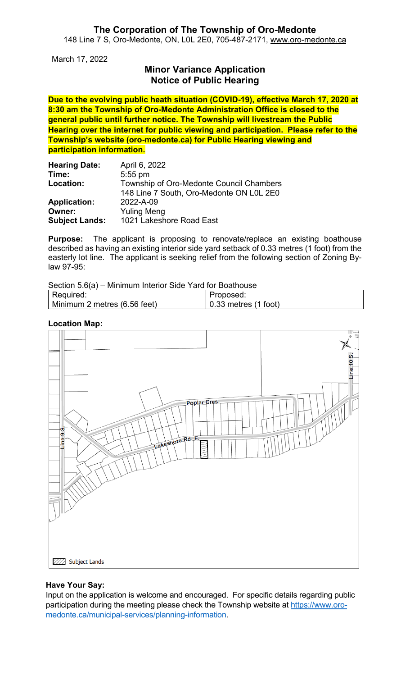#### **The Corporation of The Township of Oro-Medonte** 148 Line 7 S, Oro-Medonte, ON, L0L 2E0, 705-487-2171, [www.oro-medonte.ca](http://www.oro-medonte.ca/)

March 17, 2022

# **Minor Variance Application Notice of Public Hearing**

**Due to the evolving public heath situation (COVID-19), effective March 17, 2020 at 8:30 am the Township of Oro-Medonte Administration Office is closed to the general public until further notice. The Township will livestream the Public Hearing over the internet for public viewing and participation. Please refer to the Township's website (oro-medonte.ca) for Public Hearing viewing and participation information.**

| <b>Hearing Date:</b>  | April 6, 2022                            |
|-----------------------|------------------------------------------|
| Time:                 | $5:55$ pm                                |
| Location:             | Township of Oro-Medonte Council Chambers |
|                       | 148 Line 7 South, Oro-Medonte ON L0L 2E0 |
| <b>Application:</b>   | 2022-A-09                                |
| Owner:                | <b>Yuling Meng</b>                       |
| <b>Subject Lands:</b> | 1021 Lakeshore Road East                 |

**Purpose:** The applicant is proposing to renovate/replace an existing boathouse described as having an existing interior side yard setback of 0.33 metres (1 foot) from the easterly lot line. The applicant is seeking relief from the following section of Zoning Bylaw 97-95:

Section 5.6(a) – Minimum Interior Side Yard for Boathouse

| Required:                    | Proposed:                    |
|------------------------------|------------------------------|
| Minimum 2 metres (6.56 feet) | $\vert$ 0.33 metres (1 foot) |

#### **Location Map:**



#### **Have Your Say:**

Input on the application is welcome and encouraged. For specific details regarding public participation during the meeting please check the Township website at [https://www.oro](https://www.oro-medonte.ca/municipal-services/planning-information)[medonte.ca/municipal-services/planning-information.](https://www.oro-medonte.ca/municipal-services/planning-information)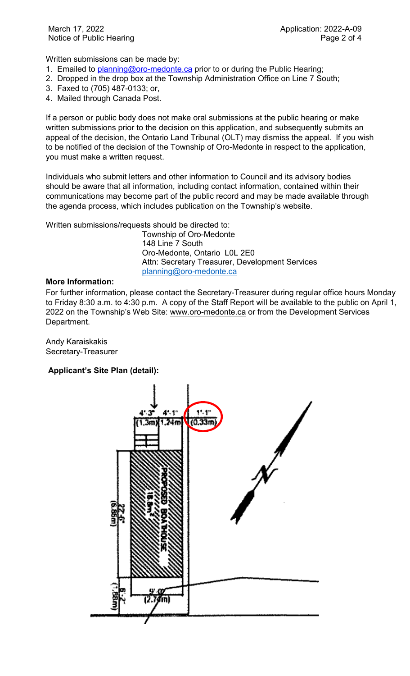Written submissions can be made by:

- 1. Emailed to **planning@oro-medonte.ca** prior to or during the Public Hearing;
- 2. Dropped in the drop box at the Township Administration Office on Line 7 South;
- 3. Faxed to (705) 487-0133; or,
- 4. Mailed through Canada Post.

If a person or public body does not make oral submissions at the public hearing or make written submissions prior to the decision on this application, and subsequently submits an appeal of the decision, the Ontario Land Tribunal (OLT) may dismiss the appeal. If you wish to be notified of the decision of the Township of Oro-Medonte in respect to the application, you must make a written request.

Individuals who submit letters and other information to Council and its advisory bodies should be aware that all information, including contact information, contained within their communications may become part of the public record and may be made available through the agenda process, which includes publication on the Township's website.

Written submissions/requests should be directed to:

Township of Oro-Medonte 148 Line 7 South Oro-Medonte, Ontario L0L 2E0 Attn: Secretary Treasurer, Development Services [planning@oro-medonte.ca](mailto:planning@oro-medonte.ca)

## **More Information:**

For further information, please contact the Secretary-Treasurer during regular office hours Monday to Friday 8:30 a.m. to 4:30 p.m. A copy of the Staff Report will be available to the public on April 1, 2022 on the Township's Web Site: [www.oro-medonte.ca](http://www.oro-medonte.ca/) or from the Development Services Department.

Andy Karaiskakis Secretary-Treasurer

### **Applicant's Site Plan (detail):**

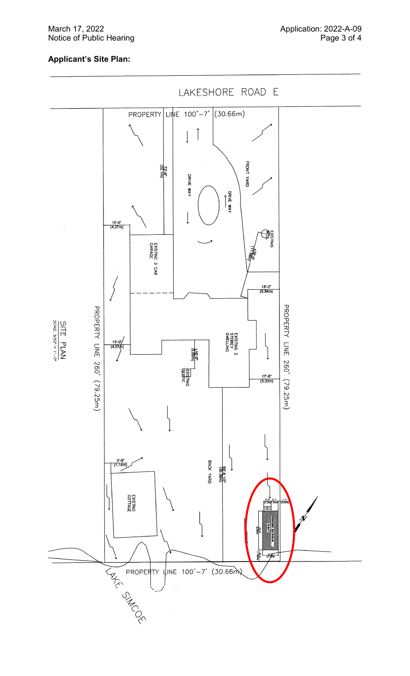#### March 17, 2022 Notice of Public Hearing

## **Applicant 's Site Plan :**